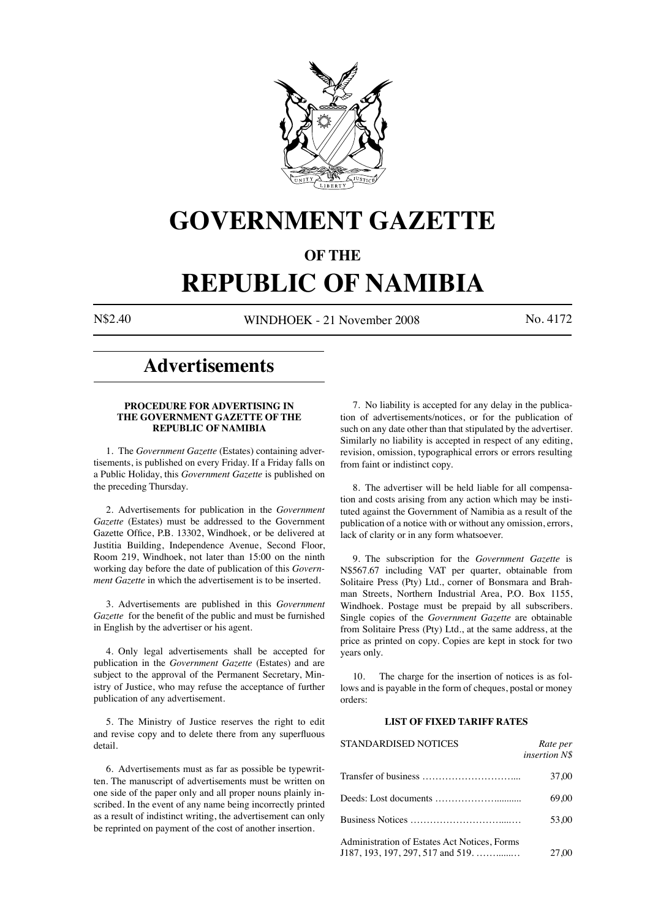

# **GOVERNMENT GAZETTE**

### **OF THE**

# **REPUBLIC OF NAMIBIA**

N\$2.40 WINDHOEK - 21 November 2008 No. 4172

## **Advertisements**

### **PROCEDURE FOR ADVERTISING IN THE GOVERNMENT GAZETTE OF THE REPUBLIC OF NAMIBIA**

1. The *Government Gazette* (Estates) containing advertisements, is published on every Friday. If a Friday falls on a Public Holiday, this *Government Gazette* is published on the preceding Thursday.

2. Advertisements for publication in the *Government Gazette* (Estates) must be addressed to the Government Gazette Office, P.B. 13302, Windhoek, or be delivered at Justitia Building, Independence Avenue, Second Floor, Room 219, Windhoek, not later than 15:00 on the ninth working day before the date of publication of this *Government Gazette* in which the advertisement is to be inserted.

3. Advertisements are published in this *Government Gazette* for the benefit of the public and must be furnished in English by the advertiser or his agent.

4. Only legal advertisements shall be accepted for publication in the *Government Gazette* (Estates) and are subject to the approval of the Permanent Secretary, Ministry of Justice, who may refuse the acceptance of further publication of any advertisement.

5. The Ministry of Justice reserves the right to edit and revise copy and to delete there from any superfluous detail.

6. Advertisements must as far as possible be typewritten. The manuscript of advertisements must be written on one side of the paper only and all proper nouns plainly inscribed. In the event of any name being incorrectly printed as a result of indistinct writing, the advertisement can only be reprinted on payment of the cost of another insertion.

7. No liability is accepted for any delay in the publication of advertisements/notices, or for the publication of such on any date other than that stipulated by the advertiser. Similarly no liability is accepted in respect of any editing, revision, omission, typographical errors or errors resulting from faint or indistinct copy.

8. The advertiser will be held liable for all compensation and costs arising from any action which may be instituted against the Government of Namibia as a result of the publication of a notice with or without any omission, errors, lack of clarity or in any form whatsoever.

9. The subscription for the *Government Gazette* is N\$567.67 including VAT per quarter, obtainable from Solitaire Press (Pty) Ltd., corner of Bonsmara and Brahman Streets, Northern Industrial Area, P.O. Box 1155, Windhoek. Postage must be prepaid by all subscribers. Single copies of the *Government Gazette* are obtainable from Solitaire Press (Pty) Ltd., at the same address, at the price as printed on copy. Copies are kept in stock for two years only.

10. The charge for the insertion of notices is as follows and is payable in the form of cheques, postal or money orders:

### **LIST OF FIXED TARIFF RATES**

| STANDARDISED NOTICES                                                                                         | Rate per<br>insertion N\$ |
|--------------------------------------------------------------------------------------------------------------|---------------------------|
|                                                                                                              | 37.00                     |
|                                                                                                              | 69.00                     |
|                                                                                                              | 53.00                     |
| Administration of Estates Act Notices, Forms<br>$J187, 193, 197, 297, 517$ and $519, \ldots, \ldots, \ldots$ | 27.00                     |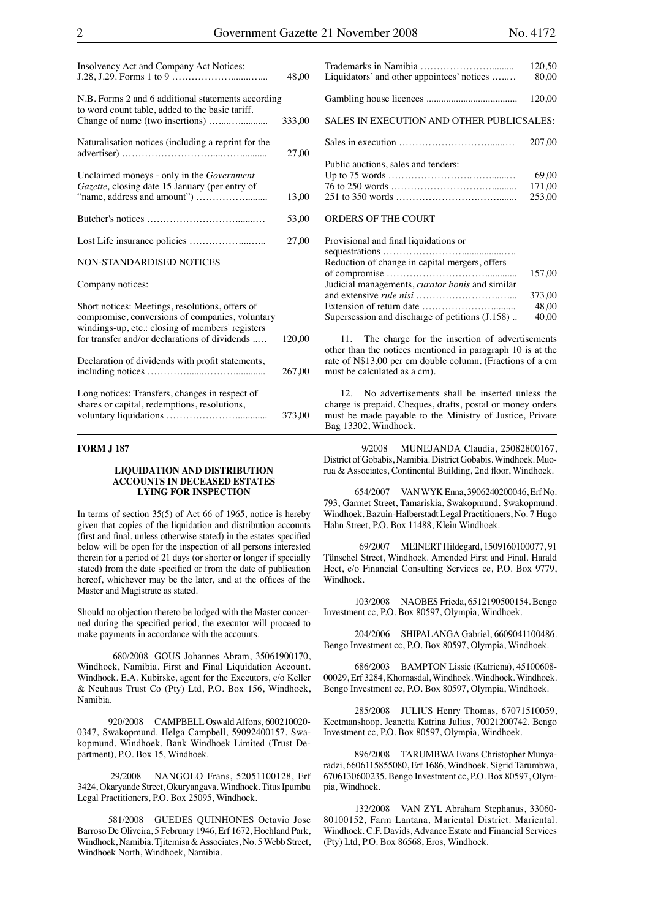| Insolvency Act and Company Act Notices:                                                                                                                | 48,00  |
|--------------------------------------------------------------------------------------------------------------------------------------------------------|--------|
| N.B. Forms 2 and 6 additional statements according<br>to word count table, added to the basic tariff.                                                  |        |
|                                                                                                                                                        | 333,00 |
| Naturalisation notices (including a reprint for the                                                                                                    | 27,00  |
| Unclaimed moneys - only in the <i>Government</i><br>Gazette, closing date 15 January (per entry of                                                     |        |
|                                                                                                                                                        | 13,00  |
|                                                                                                                                                        | 53,00  |
|                                                                                                                                                        | 27,00  |
| <b>NON-STANDARDISED NOTICES</b>                                                                                                                        |        |
| Company notices:                                                                                                                                       |        |
| Short notices: Meetings, resolutions, offers of<br>compromise, conversions of companies, voluntary<br>windings-up, etc.: closing of members' registers |        |
| for transfer and/or declarations of dividends                                                                                                          | 120.00 |
| Declaration of dividends with profit statements,                                                                                                       | 267,00 |
| Long notices: Transfers, changes in respect of<br>shares or capital, redemptions, resolutions,                                                         |        |

### **FORM J 187**

### **LIQUIDATION AND DISTRIBUTION ACCOUNTS IN DECEASED ESTATES LYING FOR INSPECTION**

voluntary liquidations …………………............. 373,00

In terms of section  $35(5)$  of Act 66 of 1965, notice is hereby given that copies of the liquidation and distribution accounts (first and final, unless otherwise stated) in the estates specified below will be open for the inspection of all persons interested therein for a period of 21 days (or shorter or longer if specially stated) from the date specified or from the date of publication hereof, whichever may be the later, and at the offices of the Master and Magistrate as stated.

Should no objection thereto be lodged with the Master concerned during the specified period, the executor will proceed to make payments in accordance with the accounts.

 680/2008 GOUS Johannes Abram, 35061900170, Windhoek, Namibia. First and Final Liquidation Account. Windhoek. E.A. Kubirske, agent for the Executors, c/o Keller & Neuhaus Trust Co (Pty) Ltd, P.O. Box 156, Windhoek, Namibia.

920/2008 CAMPBELL Oswald Alfons, 600210020- 0347, Swakopmund. Helga Campbell, 59092400157. Swakopmund. Windhoek. Bank Windhoek Limited (Trust Department), P.O. Box 15, Windhoek.

 29/2008 NANGOLO Frans, 52051100128, Erf 3424, Okaryande Street, Okuryangava. Windhoek. Titus Ipumbu Legal Practitioners, P.O. Box 25095, Windhoek.

581/2008 GUEDES QUINHONES Octavio Jose Barroso De Oliveira, 5 February 1946, Erf 1672, Hochland Park, Windhoek, Namibia. Tjitemisa & Associates, No. 5 Webb Street, Windhoek North, Windhoek, Namibia.

| Liquidators' and other appointees' notices       | 120.50<br>80.00 |
|--------------------------------------------------|-----------------|
|                                                  |                 |
|                                                  | 120.00          |
| <b>SALES IN EXECUTION AND OTHER PUBLICSALES:</b> |                 |
|                                                  | 207.00          |
| Public auctions, sales and tenders:              |                 |
|                                                  | 69.00           |
|                                                  | 171.00          |
|                                                  | 253.00          |
| ORDERS OF THE COURT                              |                 |

| Provisional and final liquidations or                  |        |
|--------------------------------------------------------|--------|
|                                                        |        |
| Reduction of change in capital mergers, offers         |        |
|                                                        | 157.00 |
| Judicial managements, <i>curator bonis</i> and similar |        |
|                                                        | 373.00 |
|                                                        | 48.00  |
| Supersession and discharge of petitions (J.158)        | 40,00  |

11. The charge for the insertion of advertisements other than the notices mentioned in paragraph 10 is at the rate of N\$13,00 per cm double column. (Fractions of a cm must be calculated as a cm).

12. No advertisements shall be inserted unless the charge is prepaid. Cheques, drafts, postal or money orders must be made payable to the Ministry of Justice, Private Bag 13302, Windhoek.

 9/2008 MUNEJANDA Claudia, 25082800167, District of Gobabis, Namibia. District Gobabis. Windhoek. Muorua & Associates, Continental Building, 2nd floor, Windhoek.

654/2007 VAN WYK Enna, 3906240200046, Erf No. 793, Garmet Street, Tamariskia, Swakopmund. Swakopmund. Windhoek. Bazuin-Halberstadt Legal Practitioners, No. 7 Hugo Hahn Street, P.O. Box 11488, Klein Windhoek.

 69/2007 MEINERT Hildegard, 1509160100077, 91 Tünschel Street, Windhoek. Amended First and Final. Harald Hect, c/o Financial Consulting Services cc, P.O. Box 9779, Windhoek.

103/2008 NAOBES Frieda, 6512190500154. Bengo Investment cc, P.O. Box 80597, Olympia, Windhoek.

204/2006 SHIPALANGA Gabriel, 6609041100486. Bengo Investment cc, P.O. Box 80597, Olympia, Windhoek.

686/2003 BAMPTON Lissie (Katriena), 45100608- 00029, Erf 3284, Khomasdal, Windhoek. Windhoek. Windhoek. Bengo Investment cc, P.O. Box 80597, Olympia, Windhoek.

285/2008 JULIUS Henry Thomas, 67071510059, Keetmanshoop. Jeanetta Katrina Julius, 70021200742. Bengo Investment cc, P.O. Box 80597, Olympia, Windhoek.

896/2008 TARUMBWA Evans Christopher Munyaradzi, 6606115855080, Erf 1686, Windhoek. Sigrid Tarumbwa, 6706130600235. Bengo Investment cc, P.O. Box 80597, Olympia, Windhoek.

132/2008 VAN ZYL Abraham Stephanus, 33060- 80100152, Farm Lantana, Mariental District. Mariental. Windhoek. C.F. Davids, Advance Estate and Financial Services (Pty) Ltd, P.O. Box 86568, Eros, Windhoek.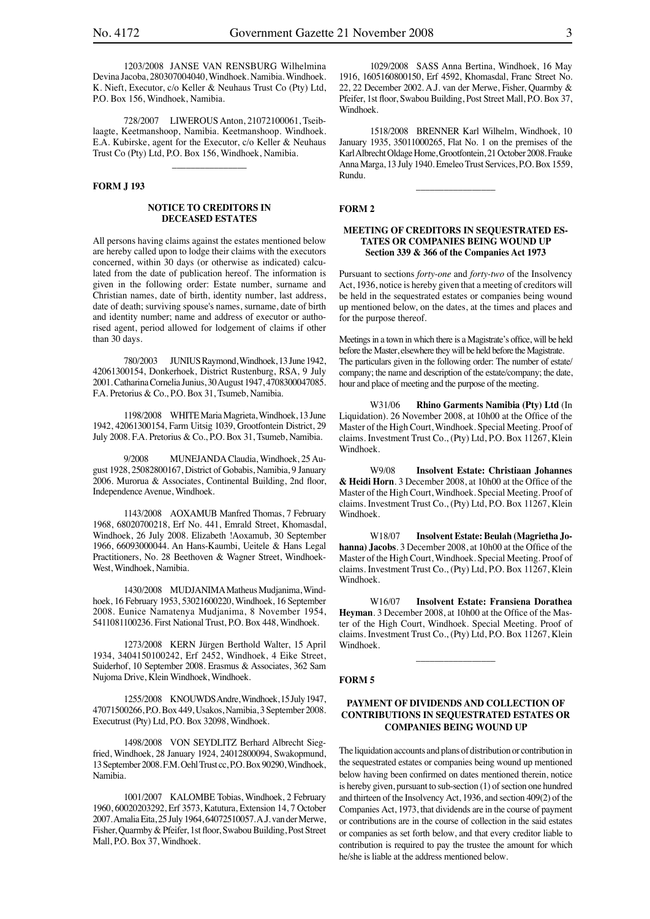1203/2008 JANSE VAN RENSBURG Wilhelmina Devina Jacoba, 280307004040, Windhoek. Namibia. Windhoek. K. Nieft, Executor, c/o Keller & Neuhaus Trust Co (Pty) Ltd, P.O. Box 156, Windhoek, Namibia.

728/2007 LIWEROUS Anton, 21072100061, Tseiblaagte, Keetmanshoop, Namibia. Keetmanshoop. Windhoek. E.A. Kubirske, agent for the Executor, c/o Keller & Neuhaus Trust Co (Pty) Ltd, P.O. Box 156, Windhoek, Namibia.

 $\overline{\phantom{a}}$ 

### **FORM J 193**

### **NOTICE TO CREDITORS IN DECEASED ESTATES**

All persons having claims against the estates mentioned below are hereby called upon to lodge their claims with the executors concerned, within 30 days (or otherwise as indicated) calculated from the date of publication hereof. The information is given in the following order: Estate number, surname and Christian names, date of birth, identity number, last address, date of death; surviving spouse's names, surname, date of birth and identity number; name and address of executor or authorised agent, period allowed for lodgement of claims if other than 30 days.

780/2003 JUNIUS Raymond, Windhoek, 13 June 1942, 42061300154, Donkerhoek, District Rustenburg, RSA, 9 July 2001. Catharina Cornelia Junius, 30 August 1947, 4708300047085. F.A. Pretorius & Co., P.O. Box 31, Tsumeb, Namibia.

1198/2008 WHITE Maria Magrieta, Windhoek, 13 June 1942, 42061300154, Farm Uitsig 1039, Grootfontein District, 29 July 2008. F.A. Pretorius & Co., P.O. Box 31, Tsumeb, Namibia.

9/2008 MUNEJANDA Claudia, Windhoek, 25 August 1928, 25082800167, District of Gobabis, Namibia, 9 January 2006. Murorua & Associates, Continental Building, 2nd floor, Independence Avenue, Windhoek.

1143/2008 AOXAMUB Manfred Thomas, 7 February 1968, 68020700218, Erf No. 441, Emrald Street, Khomasdal, Windhoek, 26 July 2008. Elizabeth !Aoxamub, 30 September 1966, 66093000044. An Hans-Kaumbi, Ueitele & Hans Legal Practitioners, No. 28 Beethoven & Wagner Street, Windhoek-West, Windhoek, Namibia.

1430/2008 MUDJANIMA Matheus Mudjanima, Windhoek, 16 February 1953, 53021600220, Windhoek, 16 September 2008. Eunice Namatenya Mudjanima, 8 November 1954, 5411081100236. First National Trust, P.O. Box 448, Windhoek.

1273/2008 KERN Jürgen Berthold Walter, 15 April 1934, 3404150100242, Erf 2452, Windhoek, 4 Eike Street, Suiderhof, 10 September 2008. Erasmus & Associates, 362 Sam Nujoma Drive, Klein Windhoek, Windhoek.

1255/2008 KNOUWDS Andre, Windhoek, 15 July 1947, 47071500266, P.O. Box 449, Usakos, Namibia, 3 September 2008. Executrust (Pty) Ltd, P.O. Box 32098, Windhoek.

1498/2008 VON SEYDLITZ Berhard Albrecht Siegfried, Windhoek, 28 January 1924, 24012800094, Swakopmund, 13 September 2008. F.M. Oehl Trust cc, P.O. Box 90290, Windhoek, Namibia.

1001/2007 KALOMBE Tobias, Windhoek, 2 February 1960, 60020203292, Erf 3573, Katutura, Extension 14, 7 October 2007. Amalia Eita, 25 July 1964, 64072510057. A.J. van der Merwe, Fisher, Quarmby & Pfeifer, 1st floor, Swabou Building, Post Street Mall, P.O. Box 37, Windhoek.

1029/2008 SASS Anna Bertina, Windhoek, 16 May 1916, 1605160800150, Erf 4592, Khomasdal, Franc Street No. 22, 22 December 2002. A.J. van der Merwe, Fisher, Quarmby & Pfeifer, 1st floor, Swabou Building, Post Street Mall, P.O. Box 37, Windhoek.

1518/2008 BRENNER Karl Wilhelm, Windhoek, 10 January 1935, 35011000265, Flat No. 1 on the premises of the Karl Albrecht Oldage Home, Grootfontein, 21 October 2008. Frauke Anna Marga, 13 July 1940. Emeleo Trust Services, P.O. Box 1559, Rundu.

 $\overline{\phantom{a}}$  , where the contract of the contract of the contract of the contract of the contract of the contract of the contract of the contract of the contract of the contract of the contract of the contract of the contr

### **FORM 2**

### **MEETING OF CREDITORS IN SEQUESTRATED ES-TATES OR COMPANIES BEING WOUND UP Section 339 & 366 of the Companies Act 1973**

Pursuant to sections *forty-one* and *forty-two* of the Insolvency Act, 1936, notice is hereby given that a meeting of creditors will be held in the sequestrated estates or companies being wound up mentioned below, on the dates, at the times and places and for the purpose thereof.

Meetings in a town in which there is a Magistrate's office, will be held before the Master, elsewhere they will be held before the Magistrate. The particulars given in the following order: The number of estate/ company; the name and description of the estate/company; the date, hour and place of meeting and the purpose of the meeting.

W31/06 **Rhino Garments Namibia (Pty) Ltd** (In Liquidation). 26 November 2008, at 10h00 at the Office of the Master of the High Court, Windhoek. Special Meeting. Proof of claims. Investment Trust Co., (Pty) Ltd, P.O. Box 11267, Klein Windhoek.

W9/08 **Insolvent Estate: Christiaan Johannes & Heidi Horn**. 3 December 2008, at 10h00 at the Office of the Master of the High Court, Windhoek. Special Meeting. Proof of claims. Investment Trust Co., (Pty) Ltd, P.O. Box 11267, Klein Windhoek.

W18/07 **Insolvent Estate: Beulah (Magrietha Johanna) Jacobs**. 3 December 2008, at 10h00 at the Office of the Master of the High Court, Windhoek. Special Meeting. Proof of claims. Investment Trust Co., (Pty) Ltd, P.O. Box 11267, Klein Windhoek.

W16/07 **Insolvent Estate: Fransiena Dorathea Heyman**. 3 December 2008, at 10h00 at the Office of the Master of the High Court, Windhoek. Special Meeting. Proof of claims. Investment Trust Co., (Pty) Ltd, P.O. Box 11267, Klein Windhoek.

\_\_\_\_\_\_\_\_\_\_\_\_\_\_\_\_\_

#### **FORM 5**

### **PAYMENT OF DIVIDENDS AND COLLECTION OF CONTRIBUTIONS IN SEQUESTRATED ESTATES OR COMPANIES BEING WOUND UP**

The liquidation accounts and plans of distribution or contribution in the sequestrated estates or companies being wound up mentioned below having been confirmed on dates mentioned therein, notice is hereby given, pursuant to sub-section (1) of section one hundred and thirteen of the Insolvency Act, 1936, and section 409(2) of the Companies Act, 1973, that dividends are in the course of payment or contributions are in the course of collection in the said estates or companies as set forth below, and that every creditor liable to contribution is required to pay the trustee the amount for which he/she is liable at the address mentioned below.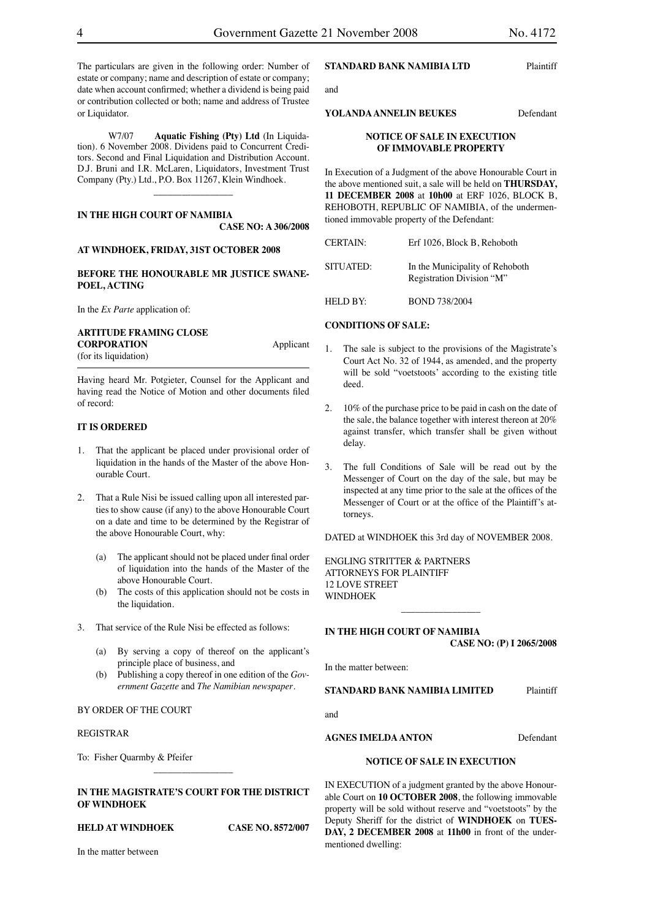The particulars are given in the following order: Number of estate or company; name and description of estate or company; date when account confirmed; whether a dividend is being paid or contribution collected or both; name and address of Trustee or Liquidator.

W7/07 **Aquatic Fishing (Pty) Ltd** (In Liquidation). 6 November 2008. Dividens paid to Concurrent Creditors. Second and Final Liquidation and Distribution Account. D.J. Bruni and I.R. McLaren, Liquidators, Investment Trust Company (Pty.) Ltd., P.O. Box 11267, Klein Windhoek.

 $\overline{\phantom{a}}$  , which is a set of the set of the set of the set of the set of the set of the set of the set of the set of the set of the set of the set of the set of the set of the set of the set of the set of the set of th

### **IN THE HIGH COURT OF NAMIBIA**

**CASE NO: A 306/2008**

### **AT WINDHOEK, FRIDAY, 31ST OCTOBER 2008**

### **BEFORE THE HONOURABLE MR JUSTICE SWANE-POEL, ACTING**

In the *Ex Parte* application of:

### **ARTITUDE FRAMING CLOSE**

**CORPORATION** Applicant (for its liquidation)

Having heard Mr. Potgieter, Counsel for the Applicant and having read the Notice of Motion and other documents filed of record:

### **IT IS ORDERED**

- 1. That the applicant be placed under provisional order of liquidation in the hands of the Master of the above Honourable Court.
- 2. That a Rule Nisi be issued calling upon all interested parties to show cause (if any) to the above Honourable Court on a date and time to be determined by the Registrar of the above Honourable Court, why:
	- (a) The applicant should not be placed under final order of liquidation into the hands of the Master of the above Honourable Court.
	- (b) The costs of this application should not be costs in the liquidation.
- 3. That service of the Rule Nisi be effected as follows:
	- (a) By serving a copy of thereof on the applicant's principle place of business, and
	- (b) Publishing a copy thereof in one edition of the *Government Gazette* and *The Namibian newspaper*.

### BY ORDER OF THE COURT

### REGISTRAR

To: Fisher Quarmby & Pfeifer

### **IN THE MAGISTRATE'S COURT FOR THE DISTRICT OF WINDHOEK**

 $\overline{\phantom{a}}$  , where  $\overline{\phantom{a}}$ 

### **HELD AT WINDHOEK CASE NO. 8572/007**

In the matter between

### **STANDARD BANK NAMIBIA LTD** Plaintiff

and

### **YOLANDA ANNELIN BEUKES** Defendant

### **NOTICE OF SALE IN EXECUTION OF IMMOVABLE PROPERTY**

In Execution of a Judgment of the above Honourable Court in the above mentioned suit, a sale will be held on **THURSDAY, 11 DECEMBER 2008** at **10h00** at ERF 1026, BLOCK B, REHOBOTH, REPUBLIC OF NAMIBIA, of the undermentioned immovable property of the Defendant:

| <b>CERTAIN:</b> | Erf 1026, Block B, Rehoboth                                  |
|-----------------|--------------------------------------------------------------|
| SITUATED:       | In the Municipality of Rehoboth<br>Registration Division "M" |
| HELD BY:        | <b>BOND 738/2004</b>                                         |

### **CONDITIONS OF SALE:**

- 1. The sale is subject to the provisions of the Magistrate's Court Act No. 32 of 1944, as amended, and the property will be sold "voetstoots' according to the existing title deed.
- 2. 10% of the purchase price to be paid in cash on the date of the sale, the balance together with interest thereon at 20% against transfer, which transfer shall be given without delay.
- 3. The full Conditions of Sale will be read out by the Messenger of Court on the day of the sale, but may be inspected at any time prior to the sale at the offices of the Messenger of Court or at the office of the Plaintiff's attorneys.

DATED at WINDHOEK this 3rd day of NOVEMBER 2008.

 $\overline{\phantom{a}}$  , which is a set of the set of the set of the set of the set of the set of the set of the set of the set of the set of the set of the set of the set of the set of the set of the set of the set of the set of th

ENGLING STRITTER & PARTNERS ATTORNEYS FOR PLAINTIFF 12 LOVE STREET WINDHOEK

### **IN THE HIGH COURT OF NAMIBIA**

**CASE NO: (P) I 2065/2008**

In the matter between:

**STANDARD BANK NAMIBIA LIMITED** Plaintiff

and

### **AGNES IMELDA ANTON** Defendant

### **NOTICE OF SALE IN EXECUTION**

IN EXECUTION of a judgment granted by the above Honourable Court on **10 OCTOBER 2008**, the following immovable property will be sold without reserve and "voetstoots" by the Deputy Sheriff for the district of **WINDHOEK** on **TUES-DAY, 2 DECEMBER 2008** at **11h00** in front of the undermentioned dwelling: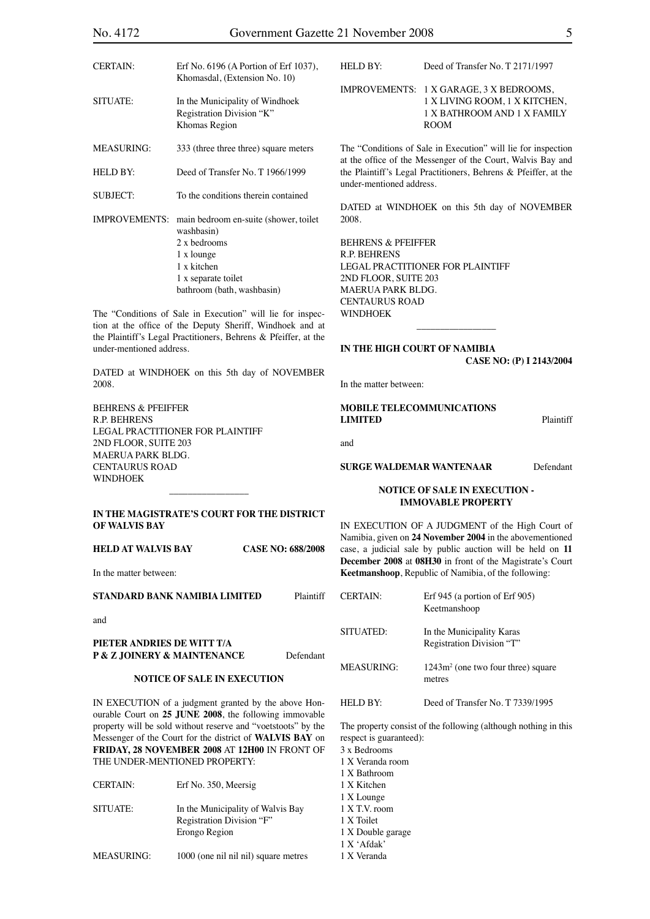| No. 4172                      |                                                                                                                              |                          | Government Gazette 21 November 2008                                                                                          |                                                                   | 5         |
|-------------------------------|------------------------------------------------------------------------------------------------------------------------------|--------------------------|------------------------------------------------------------------------------------------------------------------------------|-------------------------------------------------------------------|-----------|
| <b>CERTAIN:</b>               | Erf No. 6196 (A Portion of Erf 1037),                                                                                        |                          | HELD BY:                                                                                                                     | Deed of Transfer No. T 2171/1997                                  |           |
|                               | Khomasdal, (Extension No. 10)                                                                                                |                          |                                                                                                                              |                                                                   |           |
|                               |                                                                                                                              |                          |                                                                                                                              | IMPROVEMENTS: 1 X GARAGE, 3 X BEDROOMS,                           |           |
| <b>SITUATE:</b>               | In the Municipality of Windhoek                                                                                              |                          |                                                                                                                              | 1 X LIVING ROOM, 1 X KITCHEN,                                     |           |
|                               | Registration Division "K"                                                                                                    |                          |                                                                                                                              | 1 X BATHROOM AND 1 X FAMILY                                       |           |
|                               | Khomas Region                                                                                                                |                          |                                                                                                                              | <b>ROOM</b>                                                       |           |
| <b>MEASURING:</b>             | 333 (three three three) square meters                                                                                        |                          | The "Conditions of Sale in Execution" will lie for inspection<br>at the office of the Messenger of the Court, Walvis Bay and |                                                                   |           |
| HELD BY:                      | Deed of Transfer No. T 1966/1999                                                                                             |                          | under-mentioned address.                                                                                                     | the Plaintiff's Legal Practitioners, Behrens & Pfeiffer, at the   |           |
| <b>SUBJECT:</b>               | To the conditions therein contained                                                                                          |                          |                                                                                                                              |                                                                   |           |
|                               |                                                                                                                              |                          |                                                                                                                              | DATED at WINDHOEK on this 5th day of NOVEMBER                     |           |
|                               | IMPROVEMENTS: main bedroom en-suite (shower, toilet                                                                          |                          | 2008.                                                                                                                        |                                                                   |           |
|                               | washbasin)                                                                                                                   |                          |                                                                                                                              |                                                                   |           |
|                               | 2 x bedrooms                                                                                                                 |                          | <b>BEHRENS &amp; PFEIFFER</b>                                                                                                |                                                                   |           |
|                               | 1 x lounge                                                                                                                   |                          | R.P. BEHRENS                                                                                                                 |                                                                   |           |
|                               | 1 x kitchen                                                                                                                  |                          |                                                                                                                              | LEGAL PRACTITIONER FOR PLAINTIFF                                  |           |
|                               | 1 x separate toilet                                                                                                          |                          | 2ND FLOOR, SUITE 203                                                                                                         |                                                                   |           |
|                               | bathroom (bath, washbasin)                                                                                                   |                          | MAERUA PARK BLDG.                                                                                                            |                                                                   |           |
|                               |                                                                                                                              |                          | <b>CENTAURUS ROAD</b>                                                                                                        |                                                                   |           |
|                               | The "Conditions of Sale in Execution" will lie for inspec-                                                                   |                          | <b>WINDHOEK</b>                                                                                                              |                                                                   |           |
|                               | tion at the office of the Deputy Sheriff, Windhoek and at<br>the Plaintiff's Legal Practitioners, Behrens & Pfeiffer, at the |                          |                                                                                                                              |                                                                   |           |
| under-mentioned address.      |                                                                                                                              |                          |                                                                                                                              | IN THE HIGH COURT OF NAMIBIA                                      |           |
|                               |                                                                                                                              |                          |                                                                                                                              | CASE NO: (P) I 2143/2004                                          |           |
|                               | DATED at WINDHOEK on this 5th day of NOVEMBER                                                                                |                          |                                                                                                                              |                                                                   |           |
| 2008.                         |                                                                                                                              |                          | In the matter between:                                                                                                       |                                                                   |           |
|                               |                                                                                                                              |                          |                                                                                                                              |                                                                   |           |
| <b>BEHRENS &amp; PFEIFFER</b> |                                                                                                                              |                          |                                                                                                                              | MOBILE TELECOMMUNICATIONS                                         | Plaintiff |
| R.P. BEHRENS                  | LEGAL PRACTITIONER FOR PLAINTIFF                                                                                             |                          | <b>LIMITED</b>                                                                                                               |                                                                   |           |
| 2ND FLOOR, SUITE 203          |                                                                                                                              |                          | and                                                                                                                          |                                                                   |           |
| MAERUA PARK BLDG.             |                                                                                                                              |                          |                                                                                                                              |                                                                   |           |
| <b>CENTAURUS ROAD</b>         |                                                                                                                              |                          |                                                                                                                              | <b>SURGE WALDEMAR WANTENAAR</b>                                   | Defendant |
| <b>WINDHOEK</b>               |                                                                                                                              |                          |                                                                                                                              |                                                                   |           |
|                               |                                                                                                                              |                          |                                                                                                                              | <b>NOTICE OF SALE IN EXECUTION -</b><br><b>IMMOVABLE PROPERTY</b> |           |
|                               | IN THE MAGISTRATE'S COURT FOR THE DISTRICT                                                                                   |                          |                                                                                                                              |                                                                   |           |
| OF WALVIS BAY                 |                                                                                                                              |                          |                                                                                                                              | IN EXECUTION OF A JUDGMENT of the High Court of                   |           |
|                               |                                                                                                                              |                          |                                                                                                                              | Namibia, given on 24 November 2004 in the abovementioned          |           |
| <b>HELD AT WALVIS BAY</b>     |                                                                                                                              | <b>CASE NO: 688/2008</b> |                                                                                                                              | case, a judicial sale by public auction will be held on 11        |           |
|                               |                                                                                                                              |                          |                                                                                                                              | December 2008 at 08H30 in front of the Magistrate's Court         |           |
| In the matter between:        |                                                                                                                              |                          |                                                                                                                              | Keetmanshoop, Republic of Namibia, of the following:              |           |
|                               | STANDARD BANK NAMIBIA LIMITED                                                                                                | Plaintiff                | <b>CERTAIN:</b>                                                                                                              | Erf 945 (a portion of Erf 905)                                    |           |
|                               |                                                                                                                              |                          |                                                                                                                              | Keetmanshoop                                                      |           |
| and                           |                                                                                                                              |                          |                                                                                                                              |                                                                   |           |
|                               |                                                                                                                              |                          | SITUATED:                                                                                                                    | In the Municipality Karas                                         |           |
| PIETER ANDRIES DE WITT T/A    |                                                                                                                              |                          |                                                                                                                              | Registration Division "T"                                         |           |
| P & Z JOINERY & MAINTENANCE   |                                                                                                                              | Defendant                |                                                                                                                              |                                                                   |           |

### **NOTICE OF SALE IN EXECUTION**

IN EXECUTION of a judgment granted by the above Honourable Court on **25 JUNE 2008**, the following immovable property will be sold without reserve and "voetstoots" by the Messenger of the Court for the district of **WALVIS BAY** on **FRIDAY, 28 NOVEMBER 2008** AT **12H00** IN FRONT OF THE UNDER-MENTIONED PROPERTY:

| <b>CERTAIN:</b> | Erf No. 350, Meersig |
|-----------------|----------------------|
|-----------------|----------------------|

- SITUATE: In the Municipality of Walvis Bay Registration Division "F" Erongo Region
- MEASURING: 1000 (one nil nil nil) square metres

1 X Double garage

MEASURING:

respect is guaranteed): 3 x Bedrooms 1 X Veranda room 1 X Bathroom 1 X Kitchen 1 X Lounge 1 X T.V. room 1 X Toilet

 $1243m<sup>2</sup>$  (one two four three) square

metres

HELD BY: Deed of Transfer No. T 7339/1995

The property consist of the following (although nothing in this

- 1 X 'Afdak'
- 1 X Veranda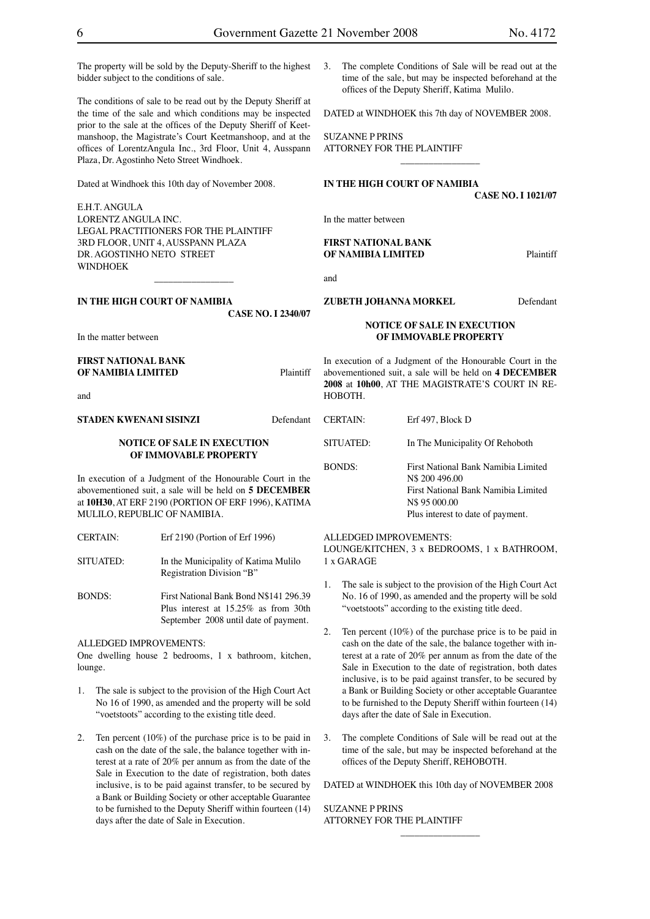The property will be sold by the Deputy-Sheriff to the highest bidder subject to the conditions of sale.

The conditions of sale to be read out by the Deputy Sheriff at the time of the sale and which conditions may be inspected prior to the sale at the offices of the Deputy Sheriff of Keetmanshoop, the Magistrate's Court Keetmanshoop, and at the offices of LorentzAngula Inc., 3rd Floor, Unit 4, Ausspann Plaza, Dr. Agostinho Neto Street Windhoek.

Dated at Windhoek this 10th day of November 2008.

E.H.T. ANGULA LORENTZ ANGULA INC. LEGAL PRACTITIONERS FOR THE PLAINTIFF 3RD FLOOR, UNIT 4, AUSSPANN PLAZA DR. AGOSTINHO NETO STREET WINDHOEK

 $\overline{\phantom{a}}$  , which is a set of the set of the set of the set of the set of the set of the set of the set of the set of the set of the set of the set of the set of the set of the set of the set of the set of the set of th

**IN THE HIGH COURT OF NAMIBIA**

**CASE NO. I 2340/07**

In the matter between

**FIRST NATIONAL BANK OF NAMIBIA LIMITED** Plaintiff

and

**STADEN KWENANI SISINZI** Defendant

### **NOTICE OF SALE IN EXECUTION OF IMMOVABLE PROPERTY**

In execution of a Judgment of the Honourable Court in the abovementioned suit, a sale will be held on **5 DECEMBER** at **10H30**, AT ERF 2190 (PORTION OF ERF 1996), KATIMA MULILO, REPUBLIC OF NAMIBIA.

- CERTAIN: Erf 2190 (Portion of Erf 1996)
- SITUATED: In the Municipality of Katima Mulilo Registration Division "B"
- BONDS: First National Bank Bond N\$141 296.39 Plus interest at 15.25% as from 30th September 2008 until date of payment.

### ALLEDGED IMPROVEMENTS:

One dwelling house 2 bedrooms, 1 x bathroom, kitchen, lounge.

- 1. The sale is subject to the provision of the High Court Act No 16 of 1990, as amended and the property will be sold "voetstoots" according to the existing title deed.
- 2. Ten percent (10%) of the purchase price is to be paid in cash on the date of the sale, the balance together with interest at a rate of 20% per annum as from the date of the Sale in Execution to the date of registration, both dates inclusive, is to be paid against transfer, to be secured by a Bank or Building Society or other acceptable Guarantee to be furnished to the Deputy Sheriff within fourteen (14) days after the date of Sale in Execution.

3. The complete Conditions of Sale will be read out at the time of the sale, but may be inspected beforehand at the offices of the Deputy Sheriff, Katima Mulilo.

DATED at WINDHOEK this 7th day of NOVEMBER 2008.

 $\overline{\phantom{a}}$  , which is a set of the set of the set of the set of the set of the set of the set of the set of the set of the set of the set of the set of the set of the set of the set of the set of the set of the set of th

SUZANNE P PRINS ATTORNEY FOR THE PLAINTIFF

### **IN THE HIGH COURT OF NAMIBIA**

**CASE NO. I 1021/07**

In the matter between

### **FIRST NATIONAL BANK OF NAMIBIA LIMITED** Plaintiff

and

### **ZUBETH JOHANNA MORKEL** Defendant

### **NOTICE OF SALE IN EXECUTION**

### **OF IMMOVABLE PROPERTY**

In execution of a Judgment of the Honourable Court in the abovementioned suit, a sale will be held on **4 DECEMBER 2008** at **10h00**, AT THE MAGISTRATE'S COURT IN RE-HOBOTH.

| <b>CERTAIN:</b> | Erf 497, Block D                                                                                              |
|-----------------|---------------------------------------------------------------------------------------------------------------|
| SITUATED:       | In The Municipality Of Rehoboth                                                                               |
| <b>BONDS:</b>   | First National Bank Namibia Limited<br>N\$ 200 496.00<br>First National Bank Namibia Limited<br>N\$ 95 000.00 |

Plus interest to date of payment.

### ALLEDGED IMPROVEMENTS:

LOUNGE/KITCHEN, 3 x BEDROOMS, 1 x BATHROOM, 1 x GARAGE

- 1. The sale is subject to the provision of the High Court Act No. 16 of 1990, as amended and the property will be sold "voetstoots" according to the existing title deed.
- 2. Ten percent (10%) of the purchase price is to be paid in cash on the date of the sale, the balance together with interest at a rate of 20% per annum as from the date of the Sale in Execution to the date of registration, both dates inclusive, is to be paid against transfer, to be secured by a Bank or Building Society or other acceptable Guarantee to be furnished to the Deputy Sheriff within fourteen (14) days after the date of Sale in Execution.
- The complete Conditions of Sale will be read out at the time of the sale, but may be inspected beforehand at the offices of the Deputy Sheriff, REHOBOTH.

DATED at WINDHOEK this 10th day of NOVEMBER 2008

 $\overline{\phantom{a}}$  , where the contract of the contract of the contract of the contract of the contract of the contract of the contract of the contract of the contract of the contract of the contract of the contract of the contr

SUZANNE P PRINS ATTORNEY FOR THE PLAINTIFF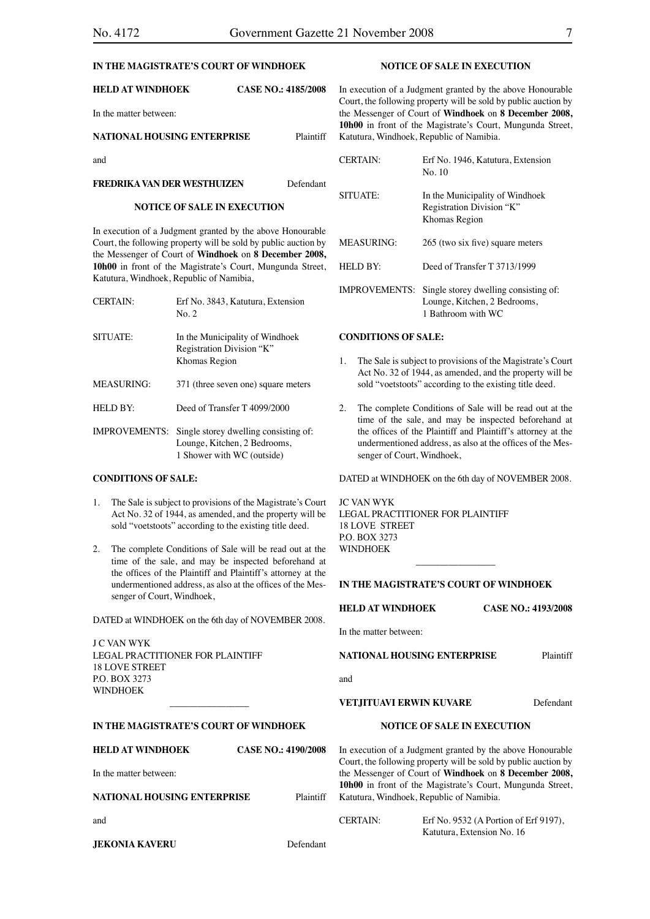### **IN THE MAGISTRATE'S COURT OF WINDHOEK**

| <b>HELD AT WINDHOEK</b>            | CASE NO.: 4185/2008 |
|------------------------------------|---------------------|
| In the matter between:             |                     |
| <b>NATIONAL HOUSING ENTERPRISE</b> | <b>Plaintiff</b>    |
| and                                |                     |

### **FREDRIKA VAN DER WESTHUIZEN** Defendant

#### **NOTICE OF SALE IN EXECUTION**

In execution of a Judgment granted by the above Honourable Court, the following property will be sold by public auction by the Messenger of Court of **Windhoek** on **8 December 2008, 10h00** in front of the Magistrate's Court, Mungunda Street, Katutura, Windhoek, Republic of Namibia,

| <b>CERTAIN:</b> | Erf No. 3843, Katutura, Extension<br>No. 2                                    |
|-----------------|-------------------------------------------------------------------------------|
| SITUATE:        | In the Municipality of Windhoek<br>Registration Division "K"<br>Khomas Region |
| MEASURING:      | 371 (three seven one) square meters                                           |
| HELD BY:        | Deed of Transfer T 4099/2000                                                  |
| IMPROVEMENTS:   | Single storey dwelling consisting of:<br>Lounge, Kitchen, 2 Bedrooms,         |

#### **CONDITIONS OF SALE:**

1. The Sale is subject to provisions of the Magistrate's Court Act No. 32 of 1944, as amended, and the property will be sold "voetstoots" according to the existing title deed.

1 Shower with WC (outside)

2. The complete Conditions of Sale will be read out at the time of the sale, and may be inspected beforehand at the offices of the Plaintiff and Plaintiff's attorney at the undermentioned address, as also at the offices of the Messenger of Court, Windhoek,

DATED at WINDHOEK on the 6th day of NOVEMBER 2008.

J C VAN WYK LEGAL PRACTITIONER FOR PLAINTIFF 18 LOVE STREET P.O. BOX 3273 **WINDHOEK** 

### **IN THE MAGISTRATE'S COURT OF WINDHOEK**

\_\_\_\_\_\_\_\_\_\_\_\_\_\_\_\_\_

| <b>HELD AT WINDHOEK</b>     | <b>CASE NO.: 4190/2008</b> |
|-----------------------------|----------------------------|
| In the matter between:      |                            |
| NATIONAL HOUSING ENTERPRISE | Plaintiff                  |
| and                         |                            |

**JEKONIA KAVERU** Defendant

### **NOTICE OF SALE IN EXECUTION**

In execution of a Judgment granted by the above Honourable Court, the following property will be sold by public auction by the Messenger of Court of **Windhoek** on **8 December 2008, 10h00** in front of the Magistrate's Court, Mungunda Street, Katutura, Windhoek, Republic of Namibia.

| <b>CERTAIN:</b>      | Erf No. 1946, Katutura, Extension<br>No. 10                                                 |
|----------------------|---------------------------------------------------------------------------------------------|
| SITUATE:             | In the Municipality of Windhoek<br>Registration Division "K"<br>Khomas Region               |
| MEASURING:           | 265 (two six five) square meters                                                            |
| $HEL$ D $BY:$        | Deed of Transfer T 3713/1999                                                                |
| <b>IMPROVEMENTS:</b> | Single storey dwelling consisting of:<br>Lounge, Kitchen, 2 Bedrooms,<br>1 Bathroom with WC |

### **CONDITIONS OF SALE:**

- 1. The Sale is subject to provisions of the Magistrate's Court Act No. 32 of 1944, as amended, and the property will be sold "voetstoots" according to the existing title deed.
- 2. The complete Conditions of Sale will be read out at the time of the sale, and may be inspected beforehand at the offices of the Plaintiff and Plaintiff's attorney at the undermentioned address, as also at the offices of the Messenger of Court, Windhoek,

DATED at WINDHOEK on the 6th day of NOVEMBER 2008.

JC VAN WYK LEGAL PRACTITIONER FOR PLAINTIFF 18 LOVE STREET P.O. BOX 3273 WINDHOEK

### **IN THE MAGISTRATE'S COURT OF WINDHOEK**

 $\overline{\phantom{a}}$  , where  $\overline{\phantom{a}}$ 

| <b>HELD AT WINDHOEK</b> | <b>CASE NO.: 4193/2008</b> |
|-------------------------|----------------------------|
|                         |                            |

In the matter between:

**NATIONAL HOUSING ENTERPRISE** Plaintiff

and

### **VETJITUAVI ERWIN KUVARE** Defendant

### **NOTICE OF SALE IN EXECUTION**

In execution of a Judgment granted by the above Honourable Court, the following property will be sold by public auction by the Messenger of Court of **Windhoek** on **8 December 2008, 10h00** in front of the Magistrate's Court, Mungunda Street, Katutura, Windhoek, Republic of Namibia.

| <b>CERTAIN:</b> | Erf No. $9532$ (A Portion of Erf $9197$ ), |
|-----------------|--------------------------------------------|
|                 | Katutura, Extension No. 16                 |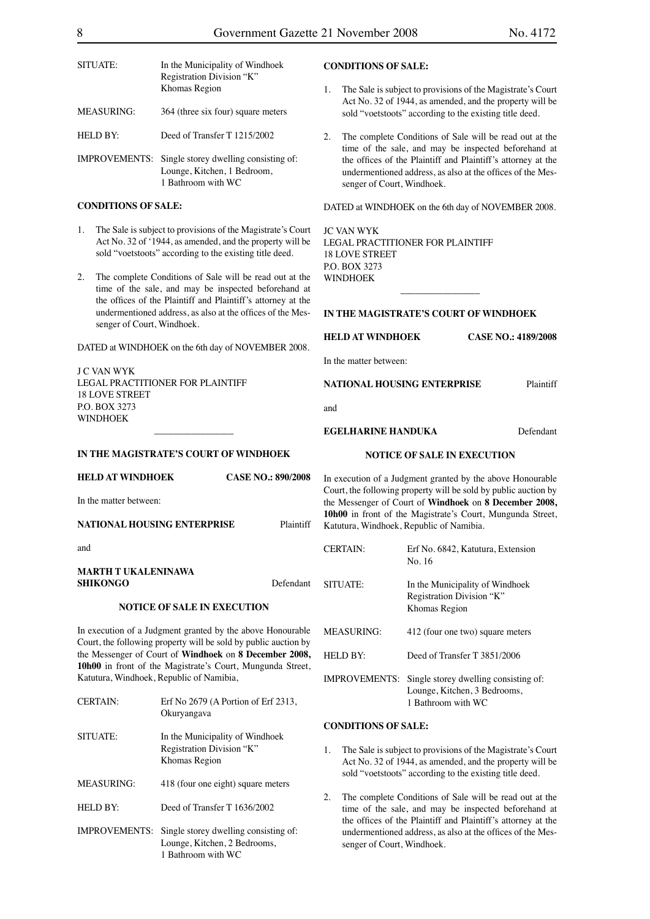| SITUATE:                                                                                                                                                                                                                                                   | In the Municipality of Windhoek<br>Registration Division "K"<br>Khomas Region                                                 | <b>CONDITIONS OF SALE:</b><br>1.                                                                                                                                                                                 | The Sale is subject to provisions of the Magistrate's Court                                                                                                                             |           |  |
|------------------------------------------------------------------------------------------------------------------------------------------------------------------------------------------------------------------------------------------------------------|-------------------------------------------------------------------------------------------------------------------------------|------------------------------------------------------------------------------------------------------------------------------------------------------------------------------------------------------------------|-----------------------------------------------------------------------------------------------------------------------------------------------------------------------------------------|-----------|--|
| <b>MEASURING:</b>                                                                                                                                                                                                                                          | 364 (three six four) square meters                                                                                            |                                                                                                                                                                                                                  | Act No. 32 of 1944, as amended, and the property will be<br>sold "voetstoots" according to the existing title deed.                                                                     |           |  |
| <b>HELD BY:</b>                                                                                                                                                                                                                                            | Deed of Transfer T 1215/2002                                                                                                  | The complete Conditions of Sale will be read out at the<br>2.                                                                                                                                                    |                                                                                                                                                                                         |           |  |
| IMPROVEMENTS: Single storey dwelling consisting of:<br>Lounge, Kitchen, 1 Bedroom,<br>1 Bathroom with WC                                                                                                                                                   |                                                                                                                               | time of the sale, and may be inspected beforehand at<br>the offices of the Plaintiff and Plaintiff's attorney at the<br>undermentioned address, as also at the offices of the Mes-<br>senger of Court, Windhoek. |                                                                                                                                                                                         |           |  |
| <b>CONDITIONS OF SALE:</b>                                                                                                                                                                                                                                 |                                                                                                                               | DATED at WINDHOEK on the 6th day of NOVEMBER 2008.                                                                                                                                                               |                                                                                                                                                                                         |           |  |
| 1.<br>The Sale is subject to provisions of the Magistrate's Court<br>Act No. 32 of '1944, as amended, and the property will be<br>sold "voetstoots" according to the existing title deed.<br>The complete Conditions of Sale will be read out at the<br>2. |                                                                                                                               | <b>JC VAN WYK</b><br>LEGAL PRACTITIONER FOR PLAINTIFF<br><b>18 LOVE STREET</b><br>P.O. BOX 3273<br><b>WINDHOEK</b>                                                                                               |                                                                                                                                                                                         |           |  |
|                                                                                                                                                                                                                                                            | time of the sale, and may be inspected beforehand at<br>the offices of the Plaintiff and Plaintiff's attorney at the          |                                                                                                                                                                                                                  |                                                                                                                                                                                         |           |  |
| senger of Court, Windhoek.                                                                                                                                                                                                                                 | undermentioned address, as also at the offices of the Mes-                                                                    | IN THE MAGISTRATE'S COURT OF WINDHOEK                                                                                                                                                                            |                                                                                                                                                                                         |           |  |
|                                                                                                                                                                                                                                                            | DATED at WINDHOEK on the 6th day of NOVEMBER 2008.                                                                            | <b>HELD AT WINDHOEK</b>                                                                                                                                                                                          | <b>CASE NO.: 4189/2008</b>                                                                                                                                                              |           |  |
|                                                                                                                                                                                                                                                            |                                                                                                                               | In the matter between:                                                                                                                                                                                           |                                                                                                                                                                                         |           |  |
| <b>J C VAN WYK</b><br>LEGAL PRACTITIONER FOR PLAINTIFF<br><b>18 LOVE STREET</b><br>P.O. BOX 3273<br><b>WINDHOEK</b>                                                                                                                                        |                                                                                                                               | <b>NATIONAL HOUSING ENTERPRISE</b>                                                                                                                                                                               |                                                                                                                                                                                         | Plaintiff |  |
|                                                                                                                                                                                                                                                            |                                                                                                                               | and                                                                                                                                                                                                              |                                                                                                                                                                                         |           |  |
|                                                                                                                                                                                                                                                            |                                                                                                                               | <b>EGELHARINE HANDUKA</b>                                                                                                                                                                                        | Defendant                                                                                                                                                                               |           |  |
|                                                                                                                                                                                                                                                            | IN THE MAGISTRATE'S COURT OF WINDHOEK                                                                                         |                                                                                                                                                                                                                  | <b>NOTICE OF SALE IN EXECUTION</b>                                                                                                                                                      |           |  |
|                                                                                                                                                                                                                                                            |                                                                                                                               |                                                                                                                                                                                                                  |                                                                                                                                                                                         |           |  |
| <b>HELD AT WINDHOEK</b>                                                                                                                                                                                                                                    | <b>CASE NO.: 890/2008</b>                                                                                                     |                                                                                                                                                                                                                  | In execution of a Judgment granted by the above Honourable                                                                                                                              |           |  |
| In the matter between:                                                                                                                                                                                                                                     |                                                                                                                               |                                                                                                                                                                                                                  | Court, the following property will be sold by public auction by<br>the Messenger of Court of Windhoek on 8 December 2008,<br>10h00 in front of the Magistrate's Court, Mungunda Street, |           |  |
| <b>NATIONAL HOUSING ENTERPRISE</b>                                                                                                                                                                                                                         | Plaintiff                                                                                                                     |                                                                                                                                                                                                                  | Katutura, Windhoek, Republic of Namibia.                                                                                                                                                |           |  |
| and                                                                                                                                                                                                                                                        |                                                                                                                               | <b>CERTAIN:</b>                                                                                                                                                                                                  | Erf No. 6842, Katutura, Extension<br>No. 16                                                                                                                                             |           |  |
| <b>MARTH T UKALENINAWA</b><br><b>SHIKONGO</b>                                                                                                                                                                                                              | Defendant                                                                                                                     | SITUATE:                                                                                                                                                                                                         | In the Municipality of Windhoek                                                                                                                                                         |           |  |
|                                                                                                                                                                                                                                                            | <b>NOTICE OF SALE IN EXECUTION</b>                                                                                            |                                                                                                                                                                                                                  | Registration Division "K"<br>Khomas Region                                                                                                                                              |           |  |
|                                                                                                                                                                                                                                                            | In execution of a Judgment granted by the above Honourable<br>Court, the following property will be sold by public auction by | <b>MEASURING:</b>                                                                                                                                                                                                | 412 (four one two) square meters                                                                                                                                                        |           |  |
|                                                                                                                                                                                                                                                            | the Messenger of Court of Windhoek on 8 December 2008,                                                                        | <b>HELD BY:</b>                                                                                                                                                                                                  | Deed of Transfer T 3851/2006                                                                                                                                                            |           |  |
|                                                                                                                                                                                                                                                            | 10h00 in front of the Magistrate's Court, Mungunda Street,<br>Katutura, Windhoek, Republic of Namibia,                        |                                                                                                                                                                                                                  | IMPROVEMENTS: Single storey dwelling consisting of:<br>Lounge, Kitchen, 3 Bedrooms,                                                                                                     |           |  |
| <b>CERTAIN:</b>                                                                                                                                                                                                                                            | Erf No 2679 (A Portion of Erf 2313,<br>Okuryangava                                                                            |                                                                                                                                                                                                                  | 1 Bathroom with WC                                                                                                                                                                      |           |  |
| SITUATE:                                                                                                                                                                                                                                                   | In the Municipality of Windhoek                                                                                               | <b>CONDITIONS OF SALE:</b>                                                                                                                                                                                       |                                                                                                                                                                                         |           |  |
|                                                                                                                                                                                                                                                            | Registration Division "K"<br>Khomas Region                                                                                    | 1.                                                                                                                                                                                                               | The Sale is subject to provisions of the Magistrate's Court<br>Act No. 32 of 1944, as amended, and the property will be                                                                 |           |  |
| <b>MEASURING:</b>                                                                                                                                                                                                                                          | 418 (four one eight) square meters                                                                                            |                                                                                                                                                                                                                  | sold "voetstoots" according to the existing title deed.                                                                                                                                 |           |  |
| HELD BY:                                                                                                                                                                                                                                                   | Deed of Transfer T 1636/2002<br>Single storey dwelling consisting of:                                                         | 2.                                                                                                                                                                                                               | The complete Conditions of Sale will be read out at the<br>time of the sale, and may be inspected beforehand at<br>the offices of the Plaintiff and Plaintiff's attorney at the         |           |  |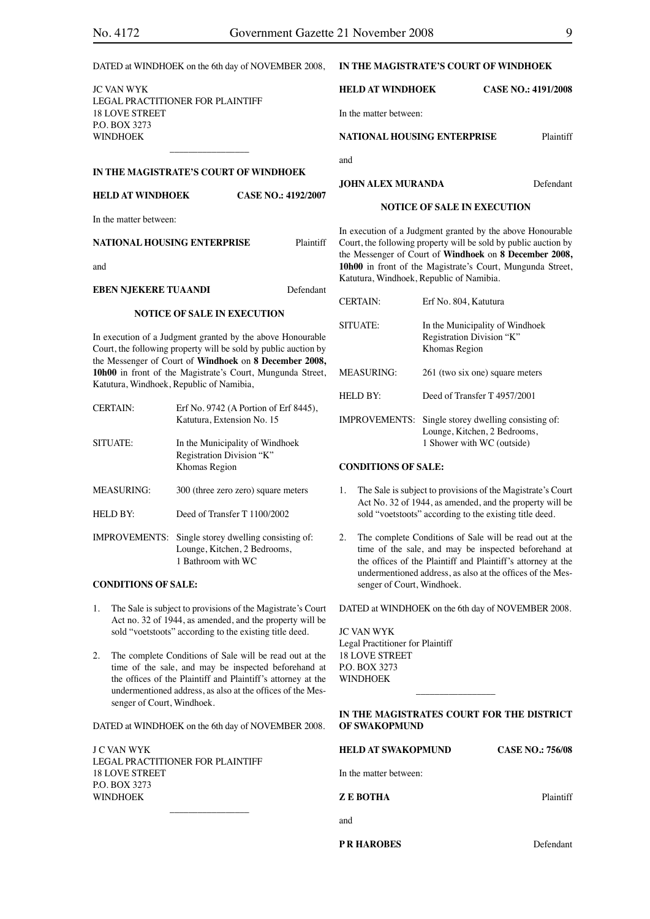| DATED at WINDHOEK on the 6th day of NOVEMBER 2008,                                                                                                                                                                                                                                                                                      |                                                                                                             | IN THE MAGISTRATE'S COURT OF WINDHOEK                                                                                                                                                                                                               |                                                                                                                     |                                                                                                                                                                  |                                                                                                                               |                                    |  |  |
|-----------------------------------------------------------------------------------------------------------------------------------------------------------------------------------------------------------------------------------------------------------------------------------------------------------------------------------------|-------------------------------------------------------------------------------------------------------------|-----------------------------------------------------------------------------------------------------------------------------------------------------------------------------------------------------------------------------------------------------|---------------------------------------------------------------------------------------------------------------------|------------------------------------------------------------------------------------------------------------------------------------------------------------------|-------------------------------------------------------------------------------------------------------------------------------|------------------------------------|--|--|
| JC VAN WYK<br>LEGAL PRACTITIONER FOR PLAINTIFF<br><b>18 LOVE STREET</b><br>P.O. BOX 3273<br><b>WINDHOEK</b>                                                                                                                                                                                                                             |                                                                                                             |                                                                                                                                                                                                                                                     | <b>HELD AT WINDHOEK</b>                                                                                             |                                                                                                                                                                  | <b>CASE NO.: 4191/2008</b>                                                                                                    |                                    |  |  |
|                                                                                                                                                                                                                                                                                                                                         |                                                                                                             | In the matter between:                                                                                                                                                                                                                              |                                                                                                                     |                                                                                                                                                                  |                                                                                                                               |                                    |  |  |
|                                                                                                                                                                                                                                                                                                                                         |                                                                                                             | <b>NATIONAL HOUSING ENTERPRISE</b>                                                                                                                                                                                                                  |                                                                                                                     |                                                                                                                                                                  |                                                                                                                               | Plaintiff                          |  |  |
|                                                                                                                                                                                                                                                                                                                                         |                                                                                                             | IN THE MAGISTRATE'S COURT OF WINDHOEK                                                                                                                                                                                                               |                                                                                                                     | and                                                                                                                                                              |                                                                                                                               |                                    |  |  |
| <b>HELD AT WINDHOEK</b><br><b>CASE NO.: 4192/2007</b>                                                                                                                                                                                                                                                                                   |                                                                                                             | <b>JOHN ALEX MURANDA</b>                                                                                                                                                                                                                            |                                                                                                                     |                                                                                                                                                                  | Defendant                                                                                                                     |                                    |  |  |
|                                                                                                                                                                                                                                                                                                                                         | In the matter between:                                                                                      |                                                                                                                                                                                                                                                     |                                                                                                                     |                                                                                                                                                                  |                                                                                                                               | <b>NOTICE OF SALE IN EXECUTION</b> |  |  |
|                                                                                                                                                                                                                                                                                                                                         |                                                                                                             | <b>NATIONAL HOUSING ENTERPRISE</b>                                                                                                                                                                                                                  | Plaintiff                                                                                                           |                                                                                                                                                                  | In execution of a Judgment granted by the above Honourable<br>Court, the following property will be sold by public auction by |                                    |  |  |
| and                                                                                                                                                                                                                                                                                                                                     |                                                                                                             |                                                                                                                                                                                                                                                     |                                                                                                                     | the Messenger of Court of Windhoek on 8 December 2008,<br>10h00 in front of the Magistrate's Court, Mungunda Street,<br>Katutura, Windhoek, Republic of Namibia. |                                                                                                                               |                                    |  |  |
|                                                                                                                                                                                                                                                                                                                                         | <b>EBEN NJEKERE TUAANDI</b>                                                                                 |                                                                                                                                                                                                                                                     | Defendant                                                                                                           |                                                                                                                                                                  | <b>CERTAIN:</b>                                                                                                               | Erf No. 804, Katutura              |  |  |
| <b>NOTICE OF SALE IN EXECUTION</b><br>In execution of a Judgment granted by the above Honourable<br>Court, the following property will be sold by public auction by<br>the Messenger of Court of Windhoek on 8 December 2008,<br>10h00 in front of the Magistrate's Court, Mungunda Street,<br>Katutura, Windhoek, Republic of Namibia, |                                                                                                             | In the Municipality of Windhoek<br>SITUATE:<br>Registration Division "K"<br>Khomas Region                                                                                                                                                           |                                                                                                                     |                                                                                                                                                                  |                                                                                                                               |                                    |  |  |
|                                                                                                                                                                                                                                                                                                                                         |                                                                                                             |                                                                                                                                                                                                                                                     | <b>MEASURING:</b>                                                                                                   | 261 (two six one) square meters                                                                                                                                  |                                                                                                                               |                                    |  |  |
| <b>CERTAIN:</b><br>Erf No. 9742 (A Portion of Erf 8445),<br>Katutura, Extension No. 15<br>SITUATE:<br>In the Municipality of Windhoek<br>Registration Division "K"<br>Khomas Region                                                                                                                                                     |                                                                                                             |                                                                                                                                                                                                                                                     | HELD BY:                                                                                                            | Deed of Transfer T 4957/2001                                                                                                                                     |                                                                                                                               |                                    |  |  |
|                                                                                                                                                                                                                                                                                                                                         |                                                                                                             |                                                                                                                                                                                                                                                     |                                                                                                                     | IMPROVEMENTS: Single storey dwelling consisting of:<br>Lounge, Kitchen, 2 Bedrooms,                                                                              |                                                                                                                               |                                    |  |  |
|                                                                                                                                                                                                                                                                                                                                         |                                                                                                             | 1 Shower with WC (outside)<br><b>CONDITIONS OF SALE:</b>                                                                                                                                                                                            |                                                                                                                     |                                                                                                                                                                  |                                                                                                                               |                                    |  |  |
|                                                                                                                                                                                                                                                                                                                                         | <b>MEASURING:</b><br>300 (three zero zero) square meters<br>Deed of Transfer T 1100/2002<br><b>HELD BY:</b> |                                                                                                                                                                                                                                                     | The Sale is subject to provisions of the Magistrate's Court<br>1.                                                   |                                                                                                                                                                  |                                                                                                                               |                                    |  |  |
|                                                                                                                                                                                                                                                                                                                                         |                                                                                                             |                                                                                                                                                                                                                                                     | Act No. 32 of 1944, as amended, and the property will be<br>sold "voetstoots" according to the existing title deed. |                                                                                                                                                                  |                                                                                                                               |                                    |  |  |
| IMPROVEMENTS: Single storey dwelling consisting of:<br>Lounge, Kitchen, 2 Bedrooms,<br>1 Bathroom with WC                                                                                                                                                                                                                               |                                                                                                             | The complete Conditions of Sale will be read out at the<br>2.<br>time of the sale, and may be inspected beforehand at<br>the offices of the Plaintiff and Plaintiff's attorney at the<br>undermentioned address, as also at the offices of the Mes- |                                                                                                                     |                                                                                                                                                                  |                                                                                                                               |                                    |  |  |
|                                                                                                                                                                                                                                                                                                                                         | <b>CONDITIONS OF SALE:</b>                                                                                  |                                                                                                                                                                                                                                                     |                                                                                                                     |                                                                                                                                                                  | senger of Court, Windhoek.                                                                                                    |                                    |  |  |
| The Sale is subject to provisions of the Magistrate's Court<br>1.<br>Act no. 32 of 1944, as amended, and the property will be<br>sold "voetstoots" according to the existing title deed.                                                                                                                                                |                                                                                                             |                                                                                                                                                                                                                                                     | DATED at WINDHOEK on the 6th day of NOVEMBER 2008.<br>JC VAN WYK                                                    |                                                                                                                                                                  |                                                                                                                               |                                    |  |  |
| 2.<br>The complete Conditions of Sale will be read out at the<br>time of the sale, and may be inspected beforehand at<br>the offices of the Plaintiff and Plaintiff's attorney at the<br>undermentioned address, as also at the offices of the Mes-                                                                                     |                                                                                                             | Legal Practitioner for Plaintiff<br><b>18 LOVE STREET</b><br>P.O. BOX 3273<br><b>WINDHOEK</b>                                                                                                                                                       |                                                                                                                     |                                                                                                                                                                  |                                                                                                                               |                                    |  |  |

DATED at WINDHOEK on the 6th day of NOVEMBER 2008.

J C VAN WYK LEGAL PRACTITIONER FOR PLAINTIFF 18 LOVE STREET P.O. BOX 3273 WINDHOEK  $\overline{\phantom{a}}$  , where  $\overline{\phantom{a}}$ 

senger of Court, Windhoek.

|  | IN THE MAGISTRATES COURT FOR THE DISTRICT |  |  |  |
|--|-------------------------------------------|--|--|--|
|  | OF SWAKOPMUND                             |  |  |  |

| <b>HELD AT SWAKOPMUND</b> | <b>CASE NO.: 756/08</b> |
|---------------------------|-------------------------|
| In the matter between:    |                         |
| <b>ZE BOTHA</b>           | Plaintiff               |
| and                       |                         |

**P R HAROBES** Defendant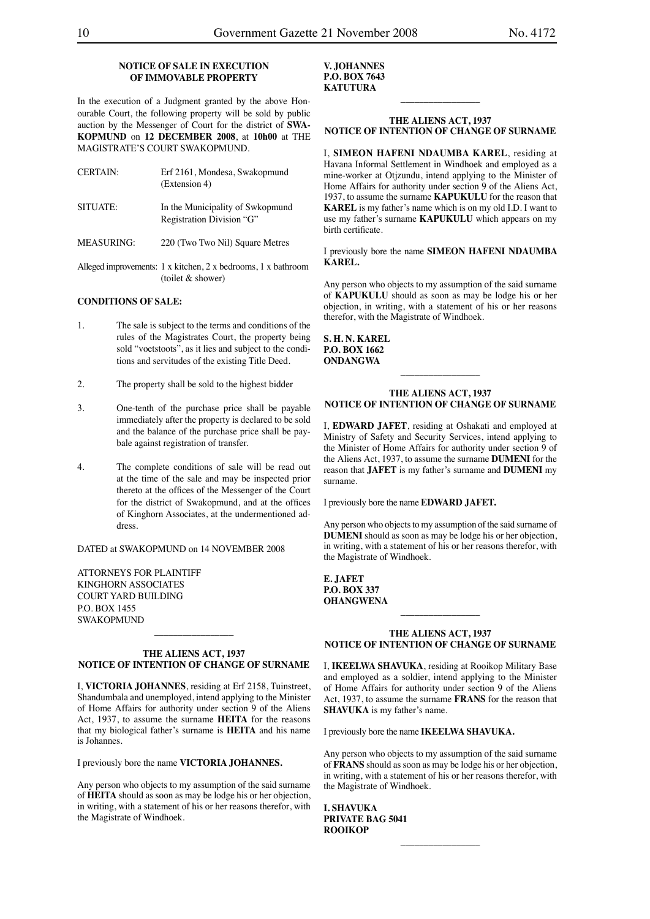### **NOTICE OF SALE IN EXECUTION OF IMMOVABLE PROPERTY**

In the execution of a Judgment granted by the above Honourable Court, the following property will be sold by public auction by the Messenger of Court for the district of **SWA-KOPMUND** on **12 DECEMBER 2008**, at **10h00** at THE MAGISTRATE'S COURT SWAKOPMUND.

| <b>CERTAIN:</b>   | Erf 2161, Mondesa, Swakopmund<br>(Extension 4)                |
|-------------------|---------------------------------------------------------------|
| SITUATE:          | In the Municipality of Swkopmund<br>Registration Division "G" |
| <b>MEASURING:</b> | 220 (Two Two Nil) Square Metres                               |

Alleged improvements: 1 x kitchen, 2 x bedrooms, 1 x bathroom (toilet & shower)

### **CONDITIONS OF SALE:**

- 1. The sale is subject to the terms and conditions of the rules of the Magistrates Court, the property being sold "voetstoots", as it lies and subject to the conditions and servitudes of the existing Title Deed.
- 2. The property shall be sold to the highest bidder
- 3. One-tenth of the purchase price shall be payable immediately after the property is declared to be sold and the balance of the purchase price shall be paybale against registration of transfer.
- 4. The complete conditions of sale will be read out at the time of the sale and may be inspected prior thereto at the offices of the Messenger of the Court for the district of Swakopmund, and at the offices of Kinghorn Associates, at the undermentioned address.

DATED at SWAKOPMUND on 14 NOVEMBER 2008

ATTORNEYS FOR PLAINTIFF KINGHORN ASSOCIATES COURT YARD BUILDING **PO. BOX 1455** SWAKOPMUND

### **THE ALIENS ACT, 1937 NOTICE OF INTENTION OF CHANGE OF SURNAME**

 $\overline{\phantom{a}}$  , where  $\overline{\phantom{a}}$ 

I, **VICTORIA JOHANNES**, residing at Erf 2158, Tuinstreet, Shandumbala and unemployed, intend applying to the Minister of Home Affairs for authority under section 9 of the Aliens Act, 1937, to assume the surname **HEITA** for the reasons that my biological father's surname is **HEITA** and his name is Johannes.

I previously bore the name **VICTORIA JOHANNES.**

Any person who objects to my assumption of the said surname of **HEITA** should as soon as may be lodge his or her objection, in writing, with a statement of his or her reasons therefor, with the Magistrate of Windhoek.

**V. JOHANNES P.O. BOX 7643 KATUTURA**

### **THE ALIENS ACT, 1937 NOTICE OF INTENTION OF CHANGE OF SURNAME**

 $\overline{\phantom{a}}$  , where  $\overline{\phantom{a}}$ 

I, **SIMEON HAFENI NDAUMBA KAREL**, residing at Havana Informal Settlement in Windhoek and employed as a mine-worker at Otjzundu, intend applying to the Minister of Home Affairs for authority under section 9 of the Aliens Act, 1937, to assume the surname **KAPUKULU** for the reason that **KAREL** is my father's name which is on my old I.D. I want to use my father's surname **KAPUKULU** which appears on my birth certificate.

I previously bore the name **SIMEON HAFENI NDAUMBA KAREL.**

Any person who objects to my assumption of the said surname of **KAPUKULU** should as soon as may be lodge his or her objection, in writing, with a statement of his or her reasons therefor, with the Magistrate of Windhoek.

**S. H. N. KAREL P.O. BOX 1662 ONDANGWA**

### **THE ALIENS ACT, 1937 NOTICE OF INTENTION OF CHANGE OF SURNAME**

 $\overline{\phantom{a}}$  , where  $\overline{\phantom{a}}$ 

I, **EDWARD JAFET**, residing at Oshakati and employed at Ministry of Safety and Security Services, intend applying to the Minister of Home Affairs for authority under section 9 of the Aliens Act, 1937, to assume the surname **DUMENI** for the reason that **JAFET** is my father's surname and **DUMENI** my surname.

I previously bore the name **EDWARD JAFET.**

Any person who objects to my assumption of the said surname of **DUMENI** should as soon as may be lodge his or her objection, in writing, with a statement of his or her reasons therefor, with the Magistrate of Windhoek.

**E. JAFET P.O. BOX 337 OHANGWENA**

### **THE ALIENS ACT, 1937 NOTICE OF INTENTION OF CHANGE OF SURNAME**

 $\overline{\phantom{a}}$  , where the contract of the contract of the contract of the contract of the contract of the contract of the contract of the contract of the contract of the contract of the contract of the contract of the contr

I, **IKEELWA SHAVUKA**, residing at Rooikop Military Base and employed as a soldier, intend applying to the Minister of Home Affairs for authority under section 9 of the Aliens Act, 1937, to assume the surname **FRANS** for the reason that **SHAVUKA** is my father's name.

I previously bore the name **IKEELWA SHAVUKA.**

Any person who objects to my assumption of the said surname of **FRANS** should as soon as may be lodge his or her objection, in writing, with a statement of his or her reasons therefor, with the Magistrate of Windhoek.

 $\overline{\phantom{a}}$  , where  $\overline{\phantom{a}}$ 

**I. SHAVUKA PRIVATE BAG 5041 ROOIKOP**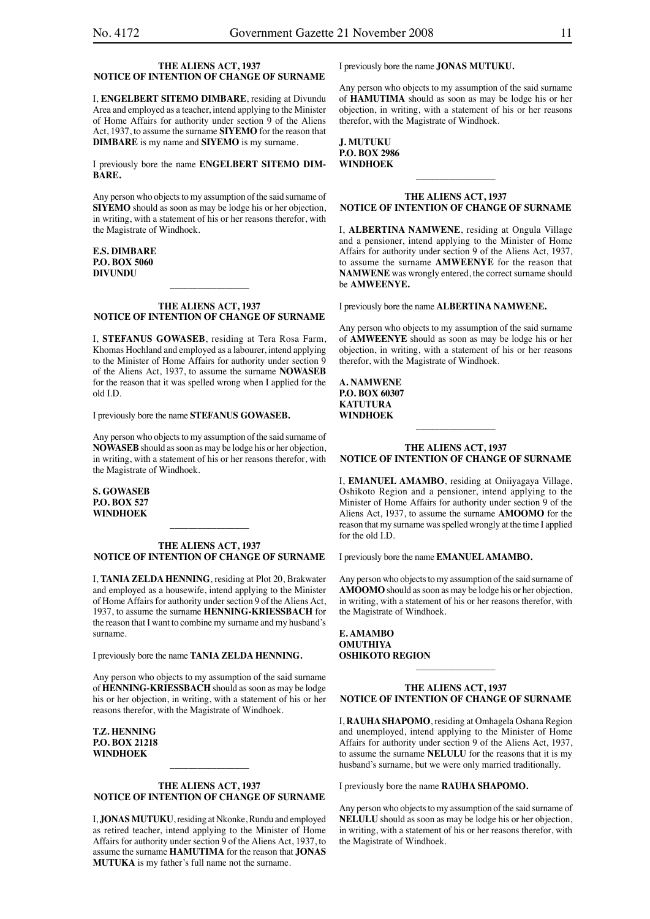### **THE ALIENS ACT, 1937 NOTICE OF INTENTION OF CHANGE OF SURNAME**

I, **ENGELBERT SITEMO DIMBARE**, residing at Divundu Area and employed as a teacher, intend applying to the Minister of Home Affairs for authority under section 9 of the Aliens Act, 1937, to assume the surname **SIYEMO** for the reason that **DIMBARE** is my name and **SIYEMO** is my surname.

I previously bore the name **ENGELBERT SITEMO DIM-BARE.**

Any person who objects to my assumption of the said surname of **SIYEMO** should as soon as may be lodge his or her objection, in writing, with a statement of his or her reasons therefor, with the Magistrate of Windhoek.

### **E.S. DIMBARE P.O. BOX 5060 DIVUNDU**

### **THE ALIENS ACT, 1937 NOTICE OF INTENTION OF CHANGE OF SURNAME**

\_\_\_\_\_\_\_\_\_\_\_\_\_\_\_\_\_

I, **STEFANUS GOWASEB**, residing at Tera Rosa Farm, Khomas Hochland and employed as a labourer, intend applying to the Minister of Home Affairs for authority under section 9 of the Aliens Act, 1937, to assume the surname **NOWASEB** for the reason that it was spelled wrong when I applied for the old I.D.

I previously bore the name **STEFANUS GOWASEB.**

Any person who objects to my assumption of the said surname of **NOWASEB** should as soon as may be lodge his or her objection, in writing, with a statement of his or her reasons therefor, with the Magistrate of Windhoek.

**S. GOWASEB P.O. BOX 527 WINDHOEK**

### **THE ALIENS ACT, 1937 NOTICE OF INTENTION OF CHANGE OF SURNAME**

\_\_\_\_\_\_\_\_\_\_\_\_\_\_\_\_\_

I, **TANIA ZELDA HENNING**, residing at Plot 20, Brakwater and employed as a housewife, intend applying to the Minister of Home Affairs for authority under section 9 of the Aliens Act, 1937, to assume the surname **HENNING-KRIESSBACH** for the reason that I want to combine my surname and my husband's surname.

I previously bore the name **TANIA ZELDA HENNING.**

Any person who objects to my assumption of the said surname of **HENNING-KRIESSBACH** should as soon as may be lodge his or her objection, in writing, with a statement of his or her reasons therefor, with the Magistrate of Windhoek.

**T.Z. HENNING P.O. BOX 21218 WINDHOEK**

### **THE ALIENS ACT, 1937 NOTICE OF INTENTION OF CHANGE OF SURNAME**

\_\_\_\_\_\_\_\_\_\_\_\_\_\_\_\_\_

I, **JONAS MUTUKU**, residing at Nkonke, Rundu and employed as retired teacher, intend applying to the Minister of Home Affairs for authority under section 9 of the Aliens Act, 1937, to assume the surname **HAMUTIMA** for the reason that **JONAS MUTUKA** is my father's full name not the surname.

I previously bore the name **JONAS MUTUKU.**

Any person who objects to my assumption of the said surname of **HAMUTIMA** should as soon as may be lodge his or her objection, in writing, with a statement of his or her reasons therefor, with the Magistrate of Windhoek.

**J. MUTUKU P.O. BOX 2986 WINDHOEK**

### **THE ALIENS ACT, 1937 NOTICE OF INTENTION OF CHANGE OF SURNAME**

 $\overline{\phantom{a}}$  , where  $\overline{\phantom{a}}$ 

I, **ALBERTINA NAMWENE**, residing at Ongula Village and a pensioner, intend applying to the Minister of Home Affairs for authority under section 9 of the Aliens Act, 1937, to assume the surname **AMWEENYE** for the reason that **NAMWENE** was wrongly entered, the correct surname should be **AMWEENYE.**

I previously bore the name **ALBERTINA NAMWENE.**

Any person who objects to my assumption of the said surname of **AMWEENYE** should as soon as may be lodge his or her objection, in writing, with a statement of his or her reasons therefor, with the Magistrate of Windhoek.

**A. NAMWENE P.O. BOX 60307 KATUTURA WINDHOEK**

### **THE ALIENS ACT, 1937 NOTICE OF INTENTION OF CHANGE OF SURNAME**

\_\_\_\_\_\_\_\_\_\_\_\_\_\_\_\_\_

I, **EMANUEL AMAMBO**, residing at Oniiyagaya Village, Oshikoto Region and a pensioner, intend applying to the Minister of Home Affairs for authority under section 9 of the Aliens Act, 1937, to assume the surname **AMOOMO** for the reason that my surname was spelled wrongly at the time I applied for the old I.D.

I previously bore the name **EMANUEL AMAMBO.**

Any person who objects to my assumption of the said surname of **AMOOMO** should as soon as may be lodge his or her objection, in writing, with a statement of his or her reasons therefor, with the Magistrate of Windhoek.

### **E. AMAMBO OMUTHIYA OSHIKOTO REGION**

### **THE ALIENS ACT, 1937 NOTICE OF INTENTION OF CHANGE OF SURNAME**

\_\_\_\_\_\_\_\_\_\_\_\_\_\_\_\_\_

I, **RAUHA SHAPOMO**, residing at Omhagela Oshana Region and unemployed, intend applying to the Minister of Home Affairs for authority under section 9 of the Aliens Act, 1937, to assume the surname **NELULU** for the reasons that it is my husband's surname, but we were only married traditionally.

I previously bore the name **RAUHA SHAPOMO.**

Any person who objects to my assumption of the said surname of **NELULU** should as soon as may be lodge his or her objection, in writing, with a statement of his or her reasons therefor, with the Magistrate of Windhoek.